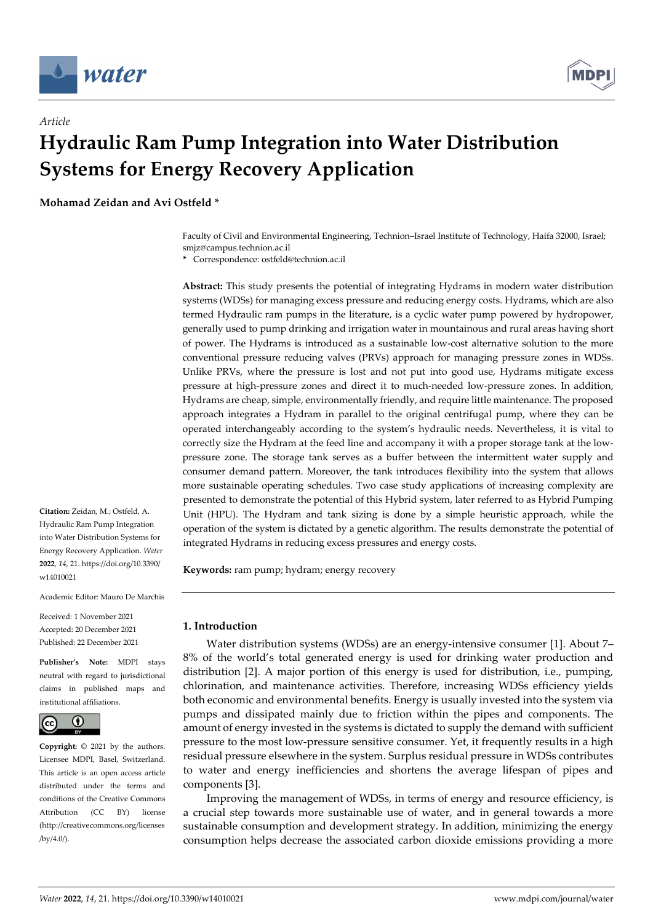

*Article*



# **Hydraulic Ram Pump Integration into Water Distribution Systems for Energy Recovery Application**

**Mohamad Zeidan and Avi Ostfeld \***

Faculty of Civil and Environmental Engineering, Technion–Israel Institute of Technology, Haifa 32000, Israel; smjz@campus.technion.ac.il

**\*** Correspondence: ostfeld@technion.ac.il

**Abstract:** This study presents the potential of integrating Hydrams in modern water distribution systems (WDSs) for managing excess pressure and reducing energy costs. Hydrams, which are also termed Hydraulic ram pumps in the literature, is a cyclic water pump powered by hydropower, generally used to pump drinking and irrigation water in mountainous and rural areas having short of power. The Hydrams is introduced as a sustainable low-cost alternative solution to the more conventional pressure reducing valves (PRVs) approach for managing pressure zones in WDSs. Unlike PRVs, where the pressure is lost and not put into good use, Hydrams mitigate excess pressure at high-pressure zones and direct it to much-needed low-pressure zones. In addition, Hydrams are cheap, simple, environmentally friendly, and require little maintenance. The proposed approach integrates a Hydram in parallel to the original centrifugal pump, where they can be operated interchangeably according to the system's hydraulic needs. Nevertheless, it is vital to correctly size the Hydram at the feed line and accompany it with a proper storage tank at the lowpressure zone. The storage tank serves as a buffer between the intermittent water supply and consumer demand pattern. Moreover, the tank introduces flexibility into the system that allows more sustainable operating schedules. Two case study applications of increasing complexity are presented to demonstrate the potential of this Hybrid system, later referred to as Hybrid Pumping Unit (HPU). The Hydram and tank sizing is done by a simple heuristic approach, while the operation of the system is dictated by a genetic algorithm. The results demonstrate the potential of integrated Hydrams in reducing excess pressures and energy costs.

**Keywords:** ram pump; hydram; energy recovery

**1. Introduction**

Water distribution systems (WDSs) are an energy-intensive consumer [1]. About 7– 8% of the world's total generated energy is used for drinking water production and distribution [2]. A major portion of this energy is used for distribution, i.e., pumping, chlorination, and maintenance activities. Therefore, increasing WDSs efficiency yields both economic and environmental benefits. Energy is usually invested into the system via pumps and dissipated mainly due to friction within the pipes and components. The amount of energy invested in the systems is dictated to supply the demand with sufficient pressure to the most low-pressure sensitive consumer. Yet, it frequently results in a high residual pressure elsewhere in the system. Surplus residual pressure in WDSs contributes to water and energy inefficiencies and shortens the average lifespan of pipes and components [3].

Improving the management of WDSs, in terms of energy and resource efficiency, is a crucial step towards more sustainable use of water, and in general towards a more sustainable consumption and development strategy. In addition, minimizing the energy consumption helps decrease the associated carbon dioxide emissions providing a more

**Citation:** Zeidan, M.; Ostfeld, A. Hydraulic Ram Pump Integration into Water Distribution Systems for Energy Recovery Application. *Water*  **2022**, *14*, 21. https://doi.org/10.3390/ w14010021

Academic Editor: Mauro De Marchis

Received: 1 November 2021 Accepted: 20 December 2021 Published: 22 December 2021

**Publisher's Note:** MDPI stays neutral with regard to jurisdictional claims in published maps and institutional affiliations.



**Copyright:** © 2021 by the authors. Licensee MDPI, Basel, Switzerland. This article is an open access article distributed under the terms and conditions of the Creative Commons Attribution (CC BY) license (http://creativecommons.org/licenses /by/4.0/).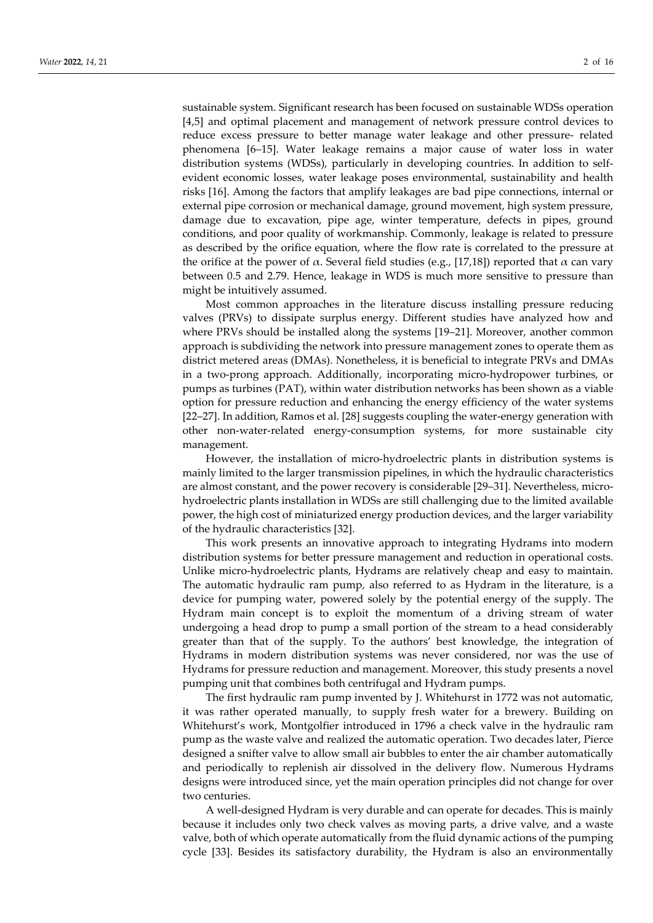sustainable system. Significant research has been focused on sustainable WDSs operation [4,5] and optimal placement and management of network pressure control devices to reduce excess pressure to better manage water leakage and other pressure- related phenomena [6–15]. Water leakage remains a major cause of water loss in water distribution systems (WDSs), particularly in developing countries. In addition to selfevident economic losses, water leakage poses environmental, sustainability and health risks [16]. Among the factors that amplify leakages are bad pipe connections, internal or external pipe corrosion or mechanical damage, ground movement, high system pressure, damage due to excavation, pipe age, winter temperature, defects in pipes, ground conditions, and poor quality of workmanship. Commonly, leakage is related to pressure as described by the orifice equation, where the flow rate is correlated to the pressure at the orifice at the power of  $\alpha$ . Several field studies (e.g., [17,18]) reported that  $\alpha$  can vary between 0.5 and 2.79. Hence, leakage in WDS is much more sensitive to pressure than might be intuitively assumed.

Most common approaches in the literature discuss installing pressure reducing valves (PRVs) to dissipate surplus energy. Different studies have analyzed how and where PRVs should be installed along the systems [19–21]. Moreover, another common approach is subdividing the network into pressure management zones to operate them as district metered areas (DMAs). Nonetheless, it is beneficial to integrate PRVs and DMAs in a two-prong approach. Additionally, incorporating micro-hydropower turbines, or pumps as turbines (PAT), within water distribution networks has been shown as a viable option for pressure reduction and enhancing the energy efficiency of the water systems [22–27]. In addition, Ramos et al. [28] suggests coupling the water-energy generation with other non-water-related energy-consumption systems, for more sustainable city management.

However, the installation of micro-hydroelectric plants in distribution systems is mainly limited to the larger transmission pipelines, in which the hydraulic characteristics are almost constant, and the power recovery is considerable [29–31]. Nevertheless, microhydroelectric plants installation in WDSs are still challenging due to the limited available power, the high cost of miniaturized energy production devices, and the larger variability of the hydraulic characteristics [32].

This work presents an innovative approach to integrating Hydrams into modern distribution systems for better pressure management and reduction in operational costs. Unlike micro-hydroelectric plants, Hydrams are relatively cheap and easy to maintain. The automatic hydraulic ram pump, also referred to as Hydram in the literature, is a device for pumping water, powered solely by the potential energy of the supply. The Hydram main concept is to exploit the momentum of a driving stream of water undergoing a head drop to pump a small portion of the stream to a head considerably greater than that of the supply. To the authors' best knowledge, the integration of Hydrams in modern distribution systems was never considered, nor was the use of Hydrams for pressure reduction and management. Moreover, this study presents a novel pumping unit that combines both centrifugal and Hydram pumps.

The first hydraulic ram pump invented by J. Whitehurst in 1772 was not automatic, it was rather operated manually, to supply fresh water for a brewery. Building on Whitehurst's work, Montgolfier introduced in 1796 a check valve in the hydraulic ram pump as the waste valve and realized the automatic operation. Two decades later, Pierce designed a snifter valve to allow small air bubbles to enter the air chamber automatically and periodically to replenish air dissolved in the delivery flow. Numerous Hydrams designs were introduced since, yet the main operation principles did not change for over two centuries.

A well-designed Hydram is very durable and can operate for decades. This is mainly because it includes only two check valves as moving parts, a drive valve, and a waste valve, both of which operate automatically from the fluid dynamic actions of the pumping cycle [33]. Besides its satisfactory durability, the Hydram is also an environmentally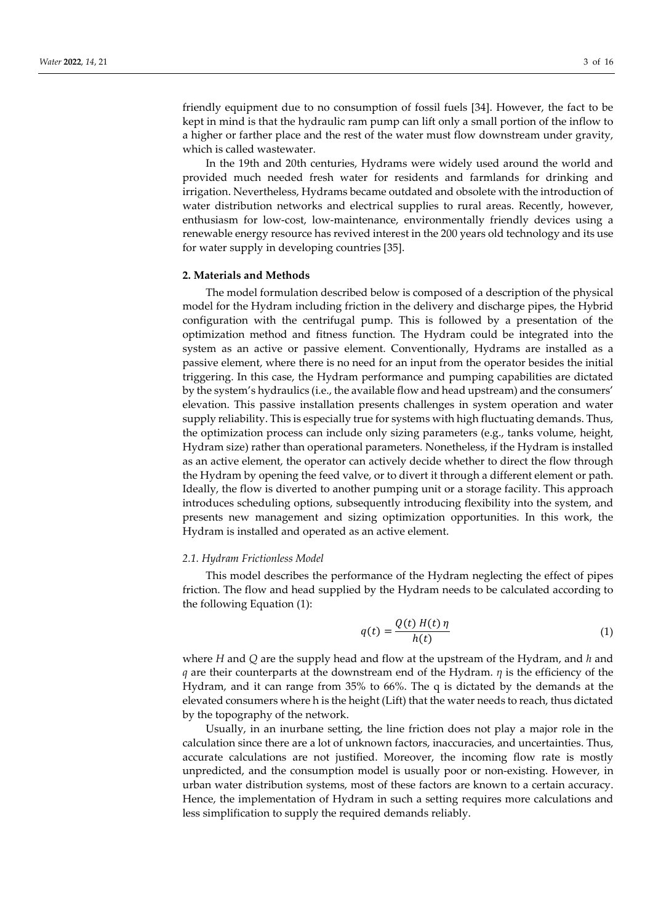friendly equipment due to no consumption of fossil fuels [34]. However, the fact to be kept in mind is that the hydraulic ram pump can lift only a small portion of the inflow to a higher or farther place and the rest of the water must flow downstream under gravity, which is called wastewater.

In the 19th and 20th centuries, Hydrams were widely used around the world and provided much needed fresh water for residents and farmlands for drinking and irrigation. Nevertheless, Hydrams became outdated and obsolete with the introduction of water distribution networks and electrical supplies to rural areas. Recently, however, enthusiasm for low-cost, low-maintenance, environmentally friendly devices using a renewable energy resource has revived interest in the 200 years old technology and its use for water supply in developing countries [35].

## **2. Materials and Methods**

The model formulation described below is composed of a description of the physical model for the Hydram including friction in the delivery and discharge pipes, the Hybrid configuration with the centrifugal pump. This is followed by a presentation of the optimization method and fitness function. The Hydram could be integrated into the system as an active or passive element. Conventionally, Hydrams are installed as a passive element, where there is no need for an input from the operator besides the initial triggering. In this case, the Hydram performance and pumping capabilities are dictated by the system's hydraulics (i.e., the available flow and head upstream) and the consumers' elevation. This passive installation presents challenges in system operation and water supply reliability. This is especially true for systems with high fluctuating demands. Thus, the optimization process can include only sizing parameters (e.g., tanks volume, height, Hydram size) rather than operational parameters. Nonetheless, if the Hydram is installed as an active element, the operator can actively decide whether to direct the flow through the Hydram by opening the feed valve, or to divert it through a different element or path. Ideally, the flow is diverted to another pumping unit or a storage facility. This approach introduces scheduling options, subsequently introducing flexibility into the system, and presents new management and sizing optimization opportunities. In this work, the Hydram is installed and operated as an active element.

#### *2.1. Hydram Frictionless Model*

This model describes the performance of the Hydram neglecting the effect of pipes friction. The flow and head supplied by the Hydram needs to be calculated according to the following Equation (1):

$$
q(t) = \frac{Q(t) H(t) \eta}{h(t)}
$$
 (1)

where *H* and *Q* are the supply head and flow at the upstream of the Hydram, and *h* and *q* are their counterparts at the downstream end of the Hydram. *η* is the efficiency of the Hydram, and it can range from 35% to 66%. The q is dictated by the demands at the elevated consumers where h is the height (Lift) that the water needs to reach, thus dictated by the topography of the network.

Usually, in an inurbane setting, the line friction does not play a major role in the calculation since there are a lot of unknown factors, inaccuracies, and uncertainties. Thus, accurate calculations are not justified. Moreover, the incoming flow rate is mostly unpredicted, and the consumption model is usually poor or non-existing. However, in urban water distribution systems, most of these factors are known to a certain accuracy. Hence, the implementation of Hydram in such a setting requires more calculations and less simplification to supply the required demands reliably.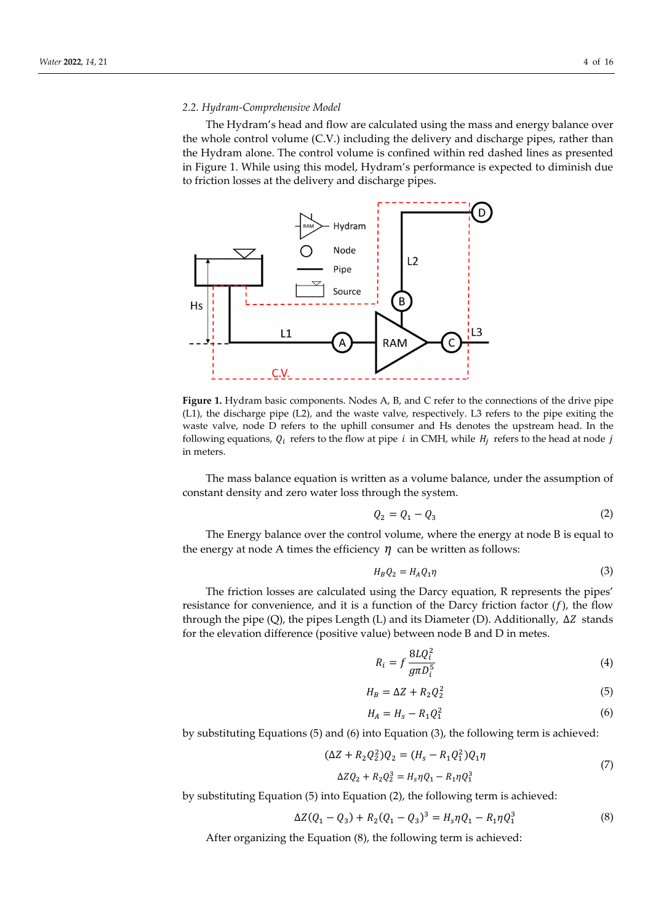## *2.2. Hydram-Comprehensive Model*

The Hydram's head and flow are calculated using the mass and energy balance over the whole control volume (C.V.) including the delivery and discharge pipes, rather than the Hydram alone. The control volume is confined within red dashed lines as presented in Figure 1. While using this model, Hydram's performance is expected to diminish due to friction losses at the delivery and discharge pipes.



**Figure 1.** Hydram basic components. Nodes A, B, and C refer to the connections of the drive pipe (L1), the discharge pipe (L2), and the waste valve, respectively. L3 refers to the pipe exiting the waste valve, node D refers to the uphill consumer and Hs denotes the upstream head. In the following equations,  $Q_i$  refers to the flow at pipe *i* in CMH, while  $H_i$  refers to the head at node *j* in meters.

The mass balance equation is written as a volume balance, under the assumption of constant density and zero water loss through the system.

$$
Q_2 = Q_1 - Q_3 \tag{2}
$$

The Energy balance over the control volume, where the energy at node B is equal to the energy at node A times the efficiency  $\eta$  can be written as follows:

$$
H_B Q_2 = H_A Q_1 \eta \tag{3}
$$

The friction losses are calculated using the Darcy equation, R represents the pipes' resistance for convenience, and it is a function of the Darcy friction factor  $(f)$ , the flow through the pipe (Q), the pipes Length (L) and its Diameter (D). Additionally,  $\Delta Z$  stands for the elevation difference (positive value) between node B and D in metes.

$$
R_i = f \frac{8LQ_i^2}{g\pi D_i^5} \tag{4}
$$

$$
H_B = \Delta Z + R_2 Q_2^2 \tag{5}
$$

$$
H_A = H_s - R_1 Q_1^2 \tag{6}
$$

by substituting Equations (5) and (6) into Equation (3), the following term is achieved:

$$
(\Delta Z + R_2 Q_2^2) Q_2 = (H_s - R_1 Q_1^2) Q_1 \eta
$$
\n(7)

$$
\Delta Z Q_2 + R_2 Q_2^3 = H_s \eta Q_1 - R_1 \eta Q_1^3
$$

by substituting Equation (5) into Equation (2), the following term is achieved:

$$
\Delta Z(Q_1 - Q_3) + R_2(Q_1 - Q_3)^3 = H_s \eta Q_1 - R_1 \eta Q_1^3 \tag{8}
$$

After organizing the Equation (8), the following term is achieved: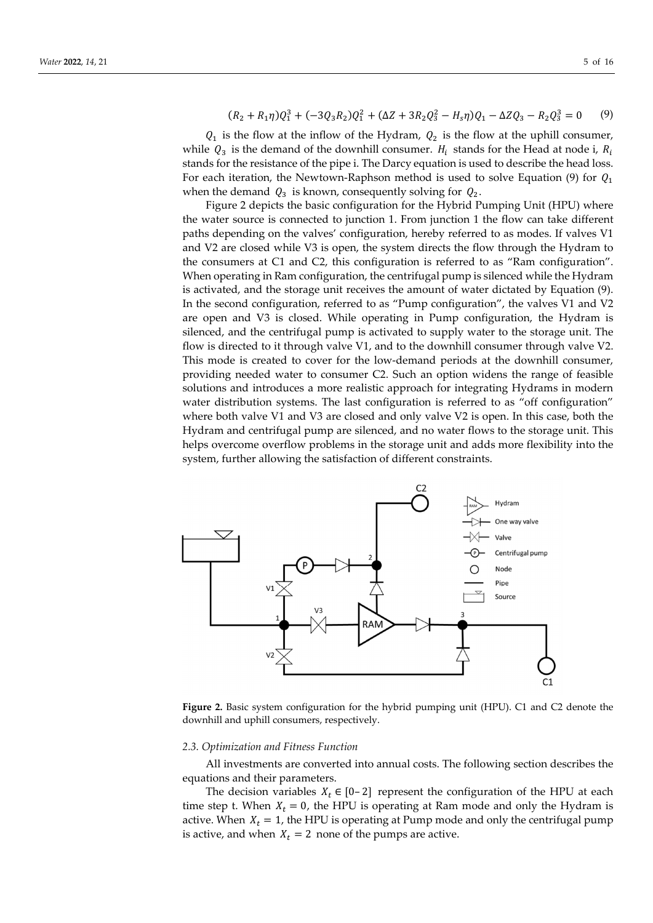$$
(R_2 + R_1 \eta)Q_1^3 + (-3Q_3 R_2)Q_1^2 + (\Delta Z + 3R_2 Q_3^2 - H_s \eta)Q_1 - \Delta Z Q_3 - R_2 Q_3^3 = 0 \tag{9}
$$

 $Q_1$  is the flow at the inflow of the Hydram,  $Q_2$  is the flow at the uphill consumer, while  $Q_3$  is the demand of the downhill consumer.  $H_i$  stands for the Head at node i,  $R_i$ stands for the resistance of the pipe i. The Darcy equation is used to describe the head loss. For each iteration, the Newtown-Raphson method is used to solve Equation (9) for  $Q_1$ when the demand  $Q_3$  is known, consequently solving for  $Q_2$ .

Figure 2 depicts the basic configuration for the Hybrid Pumping Unit (HPU) where the water source is connected to junction 1. From junction 1 the flow can take different paths depending on the valves' configuration, hereby referred to as modes. If valves V1 and V2 are closed while V3 is open, the system directs the flow through the Hydram to the consumers at C1 and C2, this configuration is referred to as "Ram configuration". When operating in Ram configuration, the centrifugal pump is silenced while the Hydram is activated, and the storage unit receives the amount of water dictated by Equation (9). In the second configuration, referred to as "Pump configuration", the valves V1 and V2 are open and V3 is closed. While operating in Pump configuration, the Hydram is silenced, and the centrifugal pump is activated to supply water to the storage unit. The flow is directed to it through valve V1, and to the downhill consumer through valve V2. This mode is created to cover for the low-demand periods at the downhill consumer, providing needed water to consumer C2. Such an option widens the range of feasible solutions and introduces a more realistic approach for integrating Hydrams in modern water distribution systems. The last configuration is referred to as "off configuration" where both valve V1 and V3 are closed and only valve V2 is open. In this case, both the Hydram and centrifugal pump are silenced, and no water flows to the storage unit. This helps overcome overflow problems in the storage unit and adds more flexibility into the system, further allowing the satisfaction of different constraints.



**Figure 2.** Basic system configuration for the hybrid pumping unit (HPU). C1 and C2 denote the downhill and uphill consumers, respectively.

#### *2.3. Optimization and Fitness Function*

All investments are converted into annual costs. The following section describes the equations and their parameters.

The decision variables  $X_t \in [0-2]$  represent the configuration of the HPU at each time step t. When  $X_t = 0$ , the HPU is operating at Ram mode and only the Hydram is active. When  $X_t = 1$ , the HPU is operating at Pump mode and only the centrifugal pump is active, and when  $X_t = 2$  none of the pumps are active.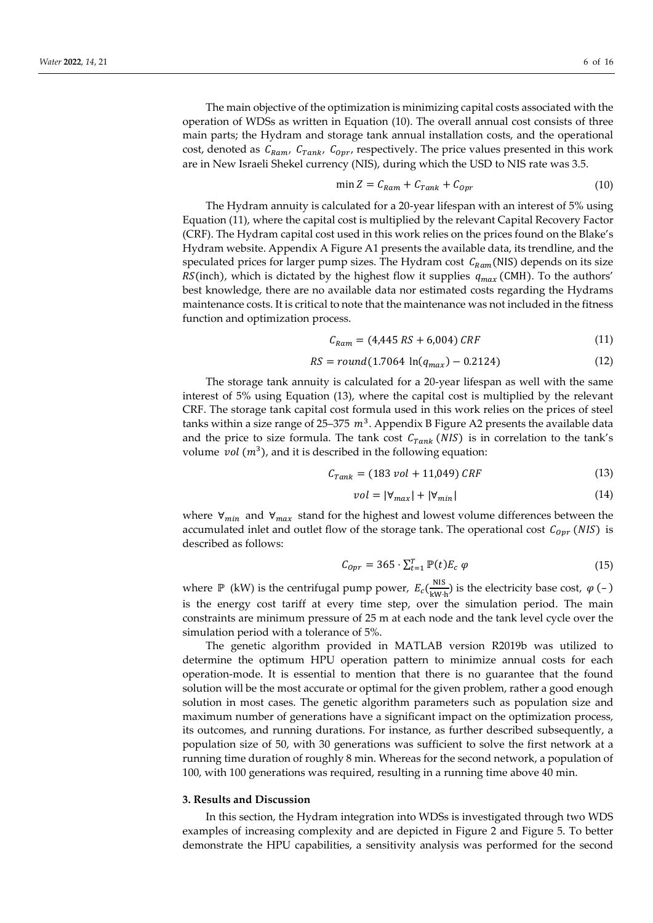$$
\min Z = C_{Ram} + C_{Tank} + C_{opr} \tag{10}
$$

The Hydram annuity is calculated for a 20-year lifespan with an interest of 5% using Equation (11), where the capital cost is multiplied by the relevant Capital Recovery Factor (CRF). The Hydram capital cost used in this work relies on the prices found on the Blake's Hydram website. Appendix A Figure A1 presents the available data, its trendline, and the speculated prices for larger pump sizes. The Hydram cost  $C_{Ram}(NIS)$  depends on its size RS(inch), which is dictated by the highest flow it supplies  $q_{max}$  (CMH). To the authors' best knowledge, there are no available data nor estimated costs regarding the Hydrams maintenance costs. It is critical to note that the maintenance was not included in the fitness function and optimization process.

$$
C_{Ram} = (4,445\;RS + 6,004)\;CRF\tag{11}
$$

$$
RS = round(1.7064 \ln(q_{max}) - 0.2124)
$$
 (12)

The storage tank annuity is calculated for a 20-year lifespan as well with the same interest of 5% using Equation (13), where the capital cost is multiplied by the relevant CRF. The storage tank capital cost formula used in this work relies on the prices of steel tanks within a size range of 25–375  $m<sup>3</sup>$ . Appendix B Figure A2 presents the available data and the price to size formula. The tank cost  $C_{Tank}$  (NIS) is in correlation to the tank's volume *vol*  $(m^3)$ , and it is described in the following equation:

$$
C_{Tank} = (183 \text{ vol} + 11,049) \text{ CRF} \tag{13}
$$

$$
vol = |\forall_{max}| + |\forall_{min}| \tag{14}
$$

where  $\forall_{min}$  and  $\forall_{max}$  stand for the highest and lowest volume differences between the accumulated inlet and outlet flow of the storage tank. The operational cost  $C_{\text{0pr}}$  (NIS) is described as follows:

$$
C_{0pr} = 365 \cdot \sum_{t=1}^{T} \mathbb{P}(t) E_c \varphi \tag{15}
$$

where  $\mathbb P$  (kW) is the centrifugal pump power,  $E_c(\frac{NIS}{kWh})$  is the electricity base cost,  $\varphi$  (-) is the energy cost tariff at every time step, over the simulation period. The main constraints are minimum pressure of 25 m at each node and the tank level cycle over the simulation period with a tolerance of 5%.

The genetic algorithm provided in MATLAB version R2019b was utilized to determine the optimum HPU operation pattern to minimize annual costs for each operation-mode. It is essential to mention that there is no guarantee that the found solution will be the most accurate or optimal for the given problem, rather a good enough solution in most cases. The genetic algorithm parameters such as population size and maximum number of generations have a significant impact on the optimization process, its outcomes, and running durations. For instance, as further described subsequently, a population size of 50, with 30 generations was sufficient to solve the first network at a running time duration of roughly 8 min. Whereas for the second network, a population of 100, with 100 generations was required, resulting in a running time above 40 min.

#### **3. Results and Discussion**

In this section, the Hydram integration into WDSs is investigated through two WDS examples of increasing complexity and are depicted in Figure 2 and Figure 5. To better demonstrate the HPU capabilities, a sensitivity analysis was performed for the second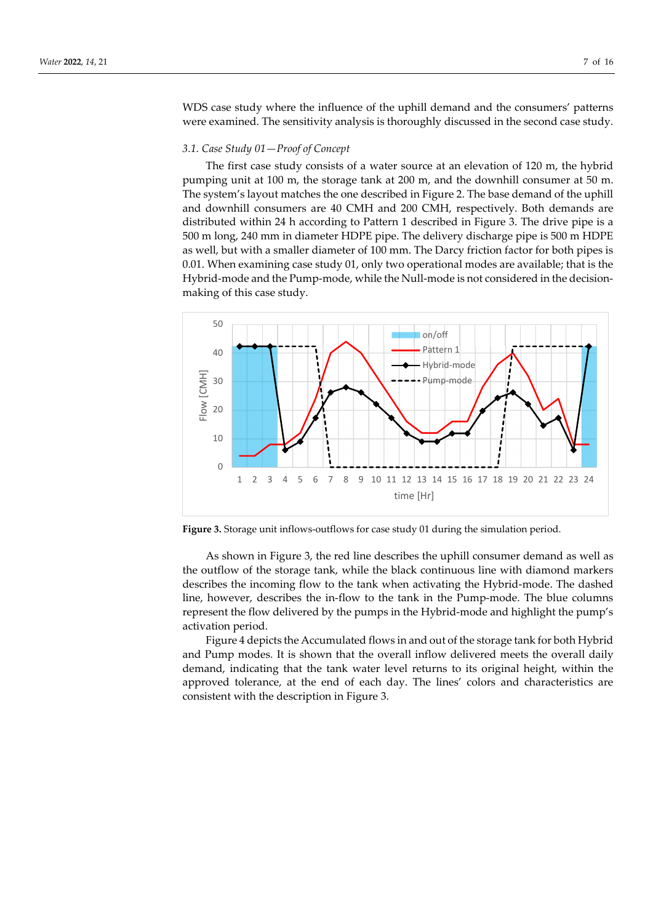WDS case study where the influence of the uphill demand and the consumers' patterns were examined. The sensitivity analysis is thoroughly discussed in the second case study.

# *3.1. Case Study 01—Proof of Concept*

The first case study consists of a water source at an elevation of 120 m, the hybrid pumping unit at 100 m, the storage tank at 200 m, and the downhill consumer at 50 m. The system's layout matches the one described in Figure 2. The base demand of the uphill and downhill consumers are 40 CMH and 200 CMH, respectively. Both demands are distributed within 24 h according to Pattern 1 described in Figure 3. The drive pipe is a 500 m long, 240 mm in diameter HDPE pipe. The delivery discharge pipe is 500 m HDPE as well, but with a smaller diameter of 100 mm. The Darcy friction factor for both pipes is 0.01. When examining case study 01, only two operational modes are available; that is the Hybrid-mode and the Pump-mode, while the Null-mode is not considered in the decisionmaking of this case study.



**Figure 3.** Storage unit inflows-outflows for case study 01 during the simulation period.

As shown in Figure 3, the red line describes the uphill consumer demand as well as the outflow of the storage tank, while the black continuous line with diamond markers describes the incoming flow to the tank when activating the Hybrid-mode. The dashed line, however, describes the in-flow to the tank in the Pump-mode. The blue columns represent the flow delivered by the pumps in the Hybrid-mode and highlight the pump's activation period.

Figure 4 depicts the Accumulated flows in and out of the storage tank for both Hybrid and Pump modes. It is shown that the overall inflow delivered meets the overall daily demand, indicating that the tank water level returns to its original height, within the approved tolerance, at the end of each day. The lines' colors and characteristics are consistent with the description in Figure 3.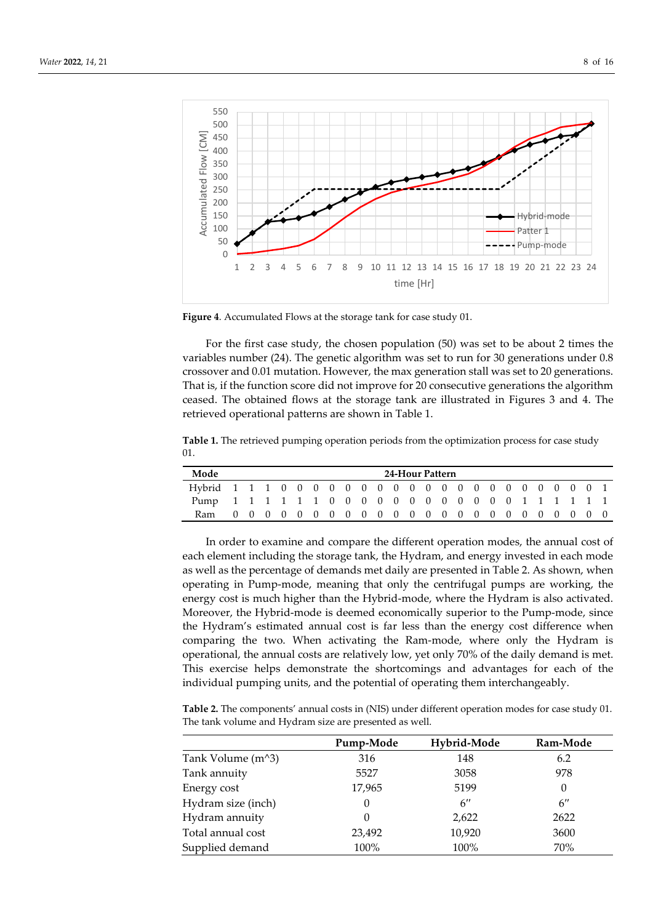

**Figure 4**. Accumulated Flows at the storage tank for case study 01.

For the first case study, the chosen population (50) was set to be about 2 times the variables number (24). The genetic algorithm was set to run for 30 generations under 0.8 crossover and 0.01 mutation. However, the max generation stall was set to 20 generations. That is, if the function score did not improve for 20 consecutive generations the algorithm ceased. The obtained flows at the storage tank are illustrated in Figures 3 and 4. The retrieved operational patterns are shown in Table 1.

**Table 1.** The retrieved pumping operation periods from the optimization process for case study 01.

| Mode                                                 | 24-Hour Pattern |  |  |  |  |  |  |  |  |  |  |  |  |  |  |  |  |  |  |
|------------------------------------------------------|-----------------|--|--|--|--|--|--|--|--|--|--|--|--|--|--|--|--|--|--|
|                                                      |                 |  |  |  |  |  |  |  |  |  |  |  |  |  |  |  |  |  |  |
| Pump 1 1 1 1 1 1 0 0 0 0 0 0 0 0 0 0 0 0 1 1 1 1 1 1 |                 |  |  |  |  |  |  |  |  |  |  |  |  |  |  |  |  |  |  |
| Ram                                                  |                 |  |  |  |  |  |  |  |  |  |  |  |  |  |  |  |  |  |  |

In order to examine and compare the different operation modes, the annual cost of each element including the storage tank, the Hydram, and energy invested in each mode as well as the percentage of demands met daily are presented in Table 2. As shown, when operating in Pump-mode, meaning that only the centrifugal pumps are working, the energy cost is much higher than the Hybrid-mode, where the Hydram is also activated. Moreover, the Hybrid-mode is deemed economically superior to the Pump-mode, since the Hydram's estimated annual cost is far less than the energy cost difference when comparing the two. When activating the Ram-mode, where only the Hydram is operational, the annual costs are relatively low, yet only 70% of the daily demand is met. This exercise helps demonstrate the shortcomings and advantages for each of the individual pumping units, and the potential of operating them interchangeably.

**Table 2.** The components' annual costs in (NIS) under different operation modes for case study 01. The tank volume and Hydram size are presented as well.

|                                                | Pump-Mode | Hybrid-Mode        | Ram-Mode           |
|------------------------------------------------|-----------|--------------------|--------------------|
| Tank Volume (m <sup><math>\land</math>3)</sup> | 316       | 148                | 6.2                |
| Tank annuity                                   | 5527      | 3058               | 978                |
| Energy cost                                    | 17,965    | 5199               | 0                  |
| Hydram size (inch)                             | 0         | $6^{\prime\prime}$ | $6^{\prime\prime}$ |
| Hydram annuity                                 | 0         | 2,622              | 2622               |
| Total annual cost                              | 23,492    | 10,920             | 3600               |
| Supplied demand                                | 100%      | 100%               | 70%                |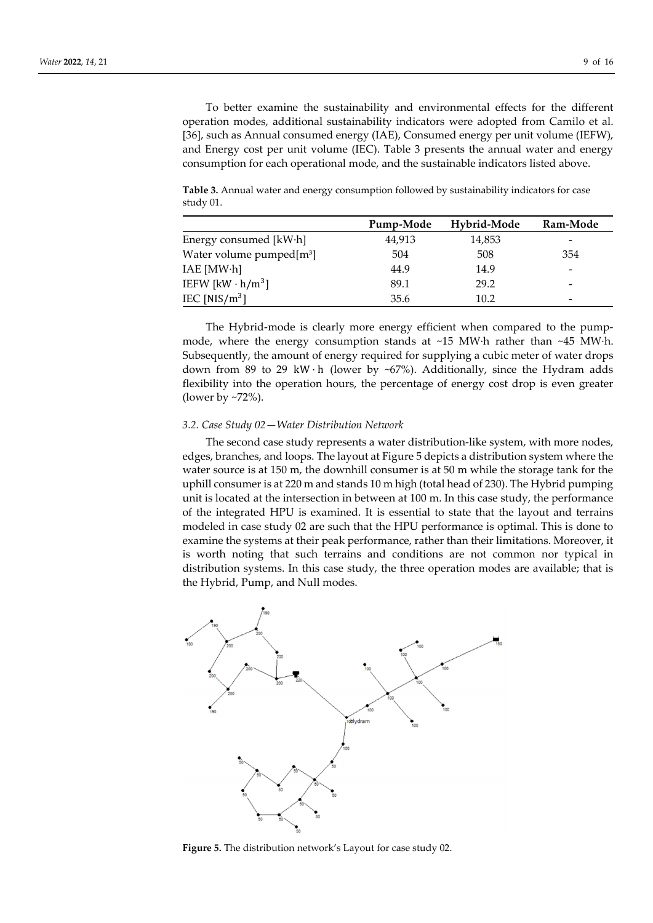To better examine the sustainability and environmental effects for the different operation modes, additional sustainability indicators were adopted from Camilo et al. [36], such as Annual consumed energy (IAE), Consumed energy per unit volume (IEFW), and Energy cost per unit volume (IEC). Table 3 presents the annual water and energy consumption for each operational mode, and the sustainable indicators listed above.

**Table 3.** Annual water and energy consumption followed by sustainability indicators for case study 01.

|                             | Pump-Mode | Hybrid-Mode | Ram-Mode |
|-----------------------------|-----------|-------------|----------|
| Energy consumed [kW·h]      | 44,913    | 14,853      | -        |
| Water volume pumped $[m^3]$ | 504       | 508         | 354      |
| IAE [MW·h]                  | 44.9      | 14.9        | -        |
| IEFW $[kW \cdot h/m^3]$     | 89.1      | 29.2        | -        |
| IEC [NIS/ $m^3$ ]           | 35.6      | 10.2        | -        |

The Hybrid-mode is clearly more energy efficient when compared to the pumpmode, where the energy consumption stands at ~15 MW·h rather than ~45 MW·h. Subsequently, the amount of energy required for supplying a cubic meter of water drops down from 89 to 29 kW  $\cdot$  h (lower by ~67%). Additionally, since the Hydram adds flexibility into the operation hours, the percentage of energy cost drop is even greater (lower by ~72%).

## *3.2. Case Study 02—Water Distribution Network*

The second case study represents a water distribution-like system, with more nodes, edges, branches, and loops. The layout at Figure 5 depicts a distribution system where the water source is at 150 m, the downhill consumer is at 50 m while the storage tank for the uphill consumer is at 220 m and stands 10 m high (total head of 230). The Hybrid pumping unit is located at the intersection in between at 100 m. In this case study, the performance of the integrated HPU is examined. It is essential to state that the layout and terrains modeled in case study 02 are such that the HPU performance is optimal. This is done to examine the systems at their peak performance, rather than their limitations. Moreover, it is worth noting that such terrains and conditions are not common nor typical in distribution systems. In this case study, the three operation modes are available; that is the Hybrid, Pump, and Null modes.



**Figure 5.** The distribution network's Layout for case study 02.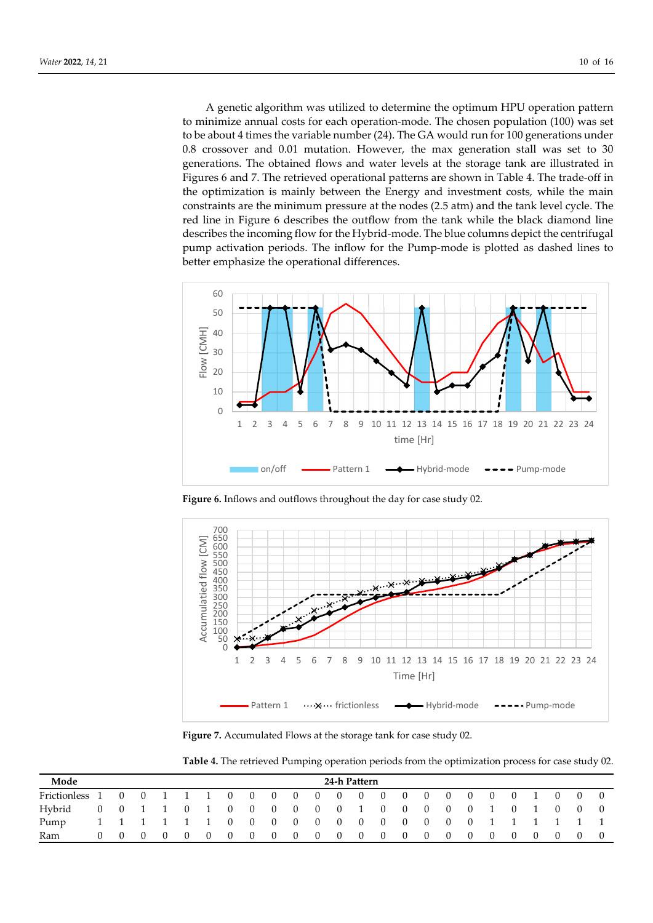A genetic algorithm was utilized to determine the optimum HPU operation pattern to minimize annual costs for each operation-mode. The chosen population (100) was set to be about 4 times the variable number (24). The GA would run for 100 generations under 0.8 crossover and 0.01 mutation. However, the max generation stall was set to 30 generations. The obtained flows and water levels at the storage tank are illustrated in Figures 6 and 7. The retrieved operational patterns are shown in Table 4. The trade-off in the optimization is mainly between the Energy and investment costs, while the main constraints are the minimum pressure at the nodes (2.5 atm) and the tank level cycle. The red line in Figure 6 describes the outflow from the tank while the black diamond line describes the incoming flow for the Hybrid-mode. The blue columns depict the centrifugal pump activation periods. The inflow for the Pump-mode is plotted as dashed lines to better emphasize the operational differences.



**Figure 6.** Inflows and outflows throughout the day for case study 02.



**Figure 7.** Accumulated Flows at the storage tank for case study 02.

**Table 4.** The retrieved Pumping operation periods from the optimization process for case study 02.

| Mode                                 | 24-h Pattern |     |          |                    |                |                                         |                             |  |                     |          |                                     |             |                |  |                                     |                |                |                |                |                |                |                |  |
|--------------------------------------|--------------|-----|----------|--------------------|----------------|-----------------------------------------|-----------------------------|--|---------------------|----------|-------------------------------------|-------------|----------------|--|-------------------------------------|----------------|----------------|----------------|----------------|----------------|----------------|----------------|--|
| Frictionless $1 \t 0 \t 0 \t 1 \t 1$ |              |     |          |                    |                |                                         | $0 \quad 0 \quad 0 \quad 0$ |  |                     |          | $\overline{0}$                      |             |                |  | $0 \quad 0 \quad 0 \quad 0 \quad 0$ | $\overline{0}$ | $\overline{0}$ | $\overline{0}$ |                | $0 \quad 1$    | $\overline{0}$ | $\overline{0}$ |  |
| Hybrid                               |              |     |          | $0 \t 0 \t 1 \t 1$ | $\overline{0}$ | $\begin{array}{ccc} \hline \end{array}$ | $\overline{0}$              |  | $0 \quad 0 \quad 0$ |          | $\begin{array}{cc} & 0 \end{array}$ | $0 \quad 1$ |                |  | $0 \quad 0 \quad 0$                 | $\overline{0}$ |                | $0 \quad 1$    | $\overline{0}$ |                | $\theta$       | $\Box$ 0       |  |
| Pump                                 |              |     |          |                    |                |                                         | 1 1 1 1 1 1 0 0 0 0         |  |                     |          | $\overline{0}$                      |             |                |  | $0 \quad 0 \quad 0 \quad 0 \quad 0$ | $\overline{0}$ |                |                | 0 1 1 1 1 1    |                |                |                |  |
| Ram                                  | $\Omega$     | - 0 | $\Omega$ | - 0                | $\overline{0}$ | $\overline{0}$                          | $\overline{0}$              |  | $0\qquad 0$         | $\sim 0$ | $\overline{0}$                      | $\sim$ 0    | $\overline{0}$ |  | $0 \quad 0 \quad 0$                 | $\overline{0}$ | $\overline{0}$ | $\overline{0}$ | $\overline{0}$ | $\overline{0}$ | - 0            | $\Box$ 0       |  |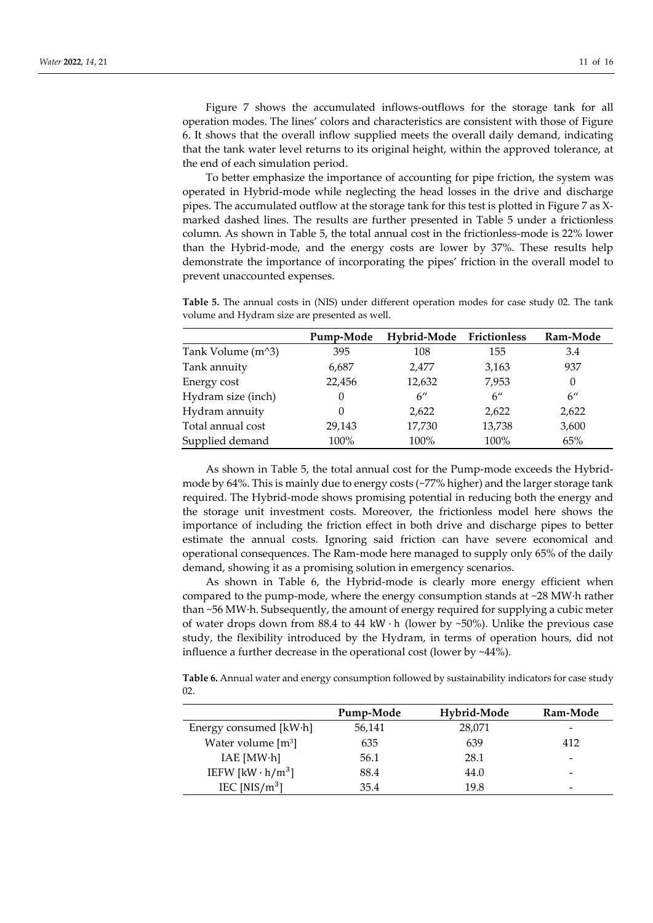Figure 7 shows the accumulated inflows-outflows for the storage tank for all operation modes. The lines' colors and characteristics are consistent with those of Figure 6. It shows that the overall inflow supplied meets the overall daily demand, indicating that the tank water level returns to its original height, within the approved tolerance, at the end of each simulation period.

To better emphasize the importance of accounting for pipe friction, the system was operated in Hybrid-mode while neglecting the head losses in the drive and discharge pipes. The accumulated outflow at the storage tank for this test is plotted in Figure 7 as Xmarked dashed lines. The results are further presented in Table 5 under a frictionless column. As shown in Table 5, the total annual cost in the frictionless-mode is 22% lower than the Hybrid-mode, and the energy costs are lower by 37%. These results help demonstrate the importance of incorporating the pipes' friction in the overall model to prevent unaccounted expenses.

**Table 5.** The annual costs in (NIS) under different operation modes for case study 02. The tank volume and Hydram size are presented as well.

|                                                | Pump-Mode | Hybrid-Mode Frictionless |                    | Ram-Mode           |
|------------------------------------------------|-----------|--------------------------|--------------------|--------------------|
| Tank Volume (m <sup><math>\land</math>3)</sup> | 395       | 108                      | 155                | 3.4                |
| Tank annuity                                   | 6,687     | 2.477                    | 3,163              | 937                |
| Energy cost                                    | 22,456    | 12,632                   | 7,953              | $\theta$           |
| Hydram size (inch)                             | $\theta$  | $6^{\prime\prime}$       | $6^{\prime\prime}$ | $6^{\prime\prime}$ |
| Hydram annuity                                 | 0         | 2,622                    | 2,622              | 2,622              |
| Total annual cost                              | 29,143    | 17,730                   | 13,738             | 3,600              |
| Supplied demand                                | 100%      | 100%                     | 100%               | 65%                |

As shown in Table 5, the total annual cost for the Pump-mode exceeds the Hybridmode by 64%. This is mainly due to energy costs (~77% higher) and the larger storage tank required. The Hybrid-mode shows promising potential in reducing both the energy and the storage unit investment costs. Moreover, the frictionless model here shows the importance of including the friction effect in both drive and discharge pipes to better estimate the annual costs. Ignoring said friction can have severe economical and operational consequences. The Ram-mode here managed to supply only 65% of the daily demand, showing it as a promising solution in emergency scenarios.

As shown in Table 6, the Hybrid-mode is clearly more energy efficient when compared to the pump-mode, where the energy consumption stands at  $\sim$ 28 MW $\cdot$ h rather than ~56 MW·h. Subsequently, the amount of energy required for supplying a cubic meter of water drops down from 88.4 to 44 kW $\cdot$  h (lower by ~50%). Unlike the previous case study, the flexibility introduced by the Hydram, in terms of operation hours, did not influence a further decrease in the operational cost (lower by ~44%).

**Table 6.** Annual water and energy consumption followed by sustainability indicators for case study 02.

|                         | Pump-Mode | Hybrid-Mode | Ram-Mode                 |
|-------------------------|-----------|-------------|--------------------------|
| Energy consumed [kW·h]  | 56,141    | 28,071      | $\overline{\phantom{0}}$ |
| Water volume $[m3]$     | 635       | 639         | 412                      |
| IAE [MW·h]              | 56.1      | 28.1        | $\overline{\phantom{0}}$ |
| IEFW $[kW \cdot h/m^3]$ | 88.4      | 44.0        | $\overline{\phantom{0}}$ |
| IEC [NIS/ $m^3$ ]       | 35.4      | 19.8        | $\overline{\phantom{0}}$ |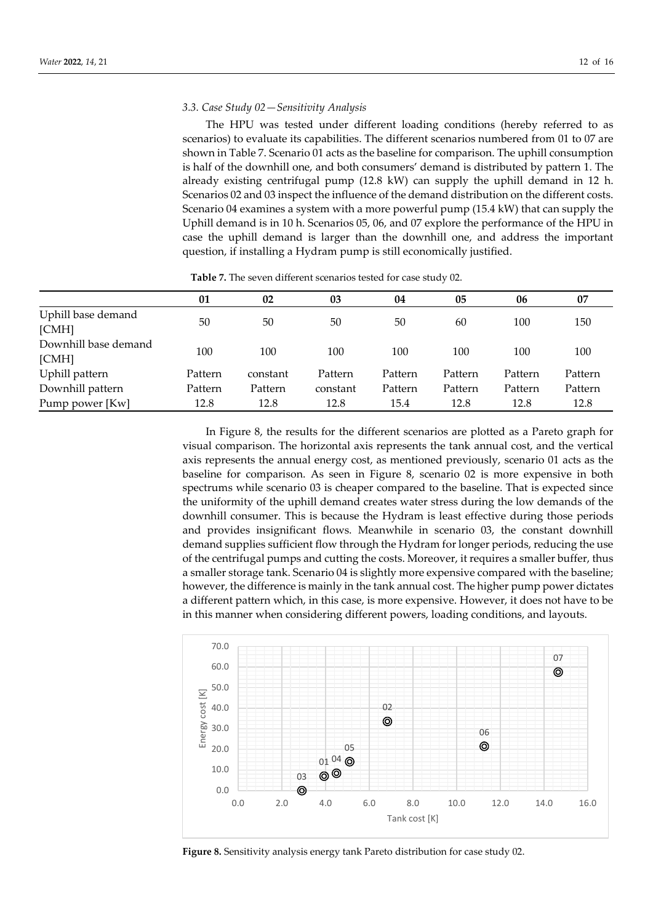## *3.3. Case Study 02—Sensitivity Analysis*

The HPU was tested under different loading conditions (hereby referred to as scenarios) to evaluate its capabilities. The different scenarios numbered from 01 to 07 are shown in Table 7. Scenario 01 acts as the baseline for comparison. The uphill consumption is half of the downhill one, and both consumers' demand is distributed by pattern 1. The already existing centrifugal pump (12.8 kW) can supply the uphill demand in 12 h. Scenarios 02 and 03 inspect the influence of the demand distribution on the different costs. Scenario 04 examines a system with a more powerful pump (15.4 kW) that can supply the Uphill demand is in 10 h. Scenarios 05, 06, and 07 explore the performance of the HPU in case the uphill demand is larger than the downhill one, and address the important question, if installing a Hydram pump is still economically justified.

|                               | 01      | 02       | 03       | 04      | 05      | 06      | 07      |
|-------------------------------|---------|----------|----------|---------|---------|---------|---------|
| Uphill base demand<br>[CMH]   | 50      | 50       | 50       | 50      | 60      | 100     | 150     |
| Downhill base demand<br>[CMH] | 100     | 100      | 100      | 100     | 100     | 100     | 100     |
| Uphill pattern                | Pattern | constant | Pattern  | Pattern | Pattern | Pattern | Pattern |
| Downhill pattern              | Pattern | Pattern  | constant | Pattern | Pattern | Pattern | Pattern |
| Pump power [Kw]               | 12.8    | 12.8     | 12.8     | 15.4    | 12.8    | 12.8    | 12.8    |

**Table 7.** The seven different scenarios tested for case study 02.

In Figure 8, the results for the different scenarios are plotted as a Pareto graph for visual comparison. The horizontal axis represents the tank annual cost, and the vertical axis represents the annual energy cost, as mentioned previously, scenario 01 acts as the baseline for comparison. As seen in Figure 8, scenario 02 is more expensive in both spectrums while scenario 03 is cheaper compared to the baseline. That is expected since the uniformity of the uphill demand creates water stress during the low demands of the downhill consumer. This is because the Hydram is least effective during those periods and provides insignificant flows. Meanwhile in scenario 03, the constant downhill demand supplies sufficient flow through the Hydram for longer periods, reducing the use of the centrifugal pumps and cutting the costs. Moreover, it requires a smaller buffer, thus a smaller storage tank. Scenario 04 is slightly more expensive compared with the baseline; however, the difference is mainly in the tank annual cost. The higher pump power dictates a different pattern which, in this case, is more expensive. However, it does not have to be in this manner when considering different powers, loading conditions, and layouts.



**Figure 8.** Sensitivity analysis energy tank Pareto distribution for case study 02.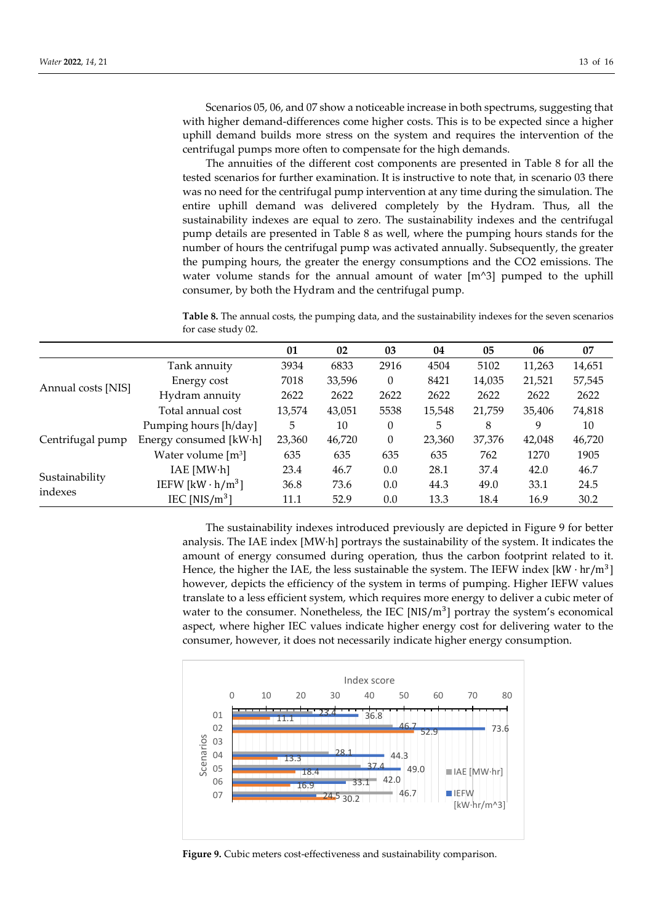Scenarios 05, 06, and 07 show a noticeable increase in both spectrums, suggesting that with higher demand-differences come higher costs. This is to be expected since a higher uphill demand builds more stress on the system and requires the intervention of the centrifugal pumps more often to compensate for the high demands.

The annuities of the different cost components are presented in Table 8 for all the tested scenarios for further examination. It is instructive to note that, in scenario 03 there was no need for the centrifugal pump intervention at any time during the simulation. The entire uphill demand was delivered completely by the Hydram. Thus, all the sustainability indexes are equal to zero. The sustainability indexes and the centrifugal pump details are presented in Table 8 as well, where the pumping hours stands for the number of hours the centrifugal pump was activated annually. Subsequently, the greater the pumping hours, the greater the energy consumptions and the CO2 emissions. The water volume stands for the annual amount of water [m^3] pumped to the uphill consumer, by both the Hydram and the centrifugal pump.

**Table 8.** The annual costs, the pumping data, and the sustainability indexes for the seven scenarios for case study 02.

|                    |                                     | 01     | 02     | 03           | 04     | 05     | 06     | 07     |
|--------------------|-------------------------------------|--------|--------|--------------|--------|--------|--------|--------|
| Annual costs [NIS] | Tank annuity                        | 3934   | 6833   | 2916         | 4504   | 5102   | 11,263 | 14,651 |
|                    | Energy cost                         | 7018   | 33,596 | $\theta$     | 8421   | 14,035 | 21,521 | 57,545 |
|                    | Hydram annuity                      | 2622   | 2622   | 2622         | 2622   | 2622   | 2622   | 2622   |
|                    | Total annual cost                   | 13,574 | 43,051 | 5538         | 15,548 | 21,759 | 35,406 | 74,818 |
|                    | Pumping hours [h/day]               | 5      | 10     | $\theta$     | 5      | 8      | 9      | 10     |
| Centrifugal pump   | Energy consumed [kW·h]              | 23,360 | 46,720 | $\mathbf{0}$ | 23,360 | 37,376 | 42,048 | 46,720 |
|                    | Water volume $[m^3]$                | 635    | 635    | 635          | 635    | 762    | 1270   | 1905   |
|                    | IAE [MW·h]                          | 23.4   | 46.7   | 0.0          | 28.1   | 37.4   | 42.0   | 46.7   |
| Sustainability     | IEFW [kW $\cdot$ h/m <sup>3</sup> ] | 36.8   | 73.6   | 0.0          | 44.3   | 49.0   | 33.1   | 24.5   |
| indexes            | IEC [NIS/ $m^3$ ]                   | 11.1   | 52.9   | 0.0          | 13.3   | 18.4   | 16.9   | 30.2   |

The sustainability indexes introduced previously are depicted in Figure 9 for better analysis. The IAE index [MW·h] portrays the sustainability of the system. It indicates the amount of energy consumed during operation, thus the carbon footprint related to it. Hence, the higher the IAE, the less sustainable the system. The IEFW index  $[kW \cdot hr/m^3]$ however, depicts the efficiency of the system in terms of pumping. Higher IEFW values translate to a less efficient system, which requires more energy to deliver a cubic meter of water to the consumer. Nonetheless, the IEC  $[NIS/m<sup>3</sup>]$  portray the system's economical aspect, where higher IEC values indicate higher energy cost for delivering water to the consumer, however, it does not necessarily indicate higher energy consumption.



**Figure 9.** Cubic meters cost-effectiveness and sustainability comparison.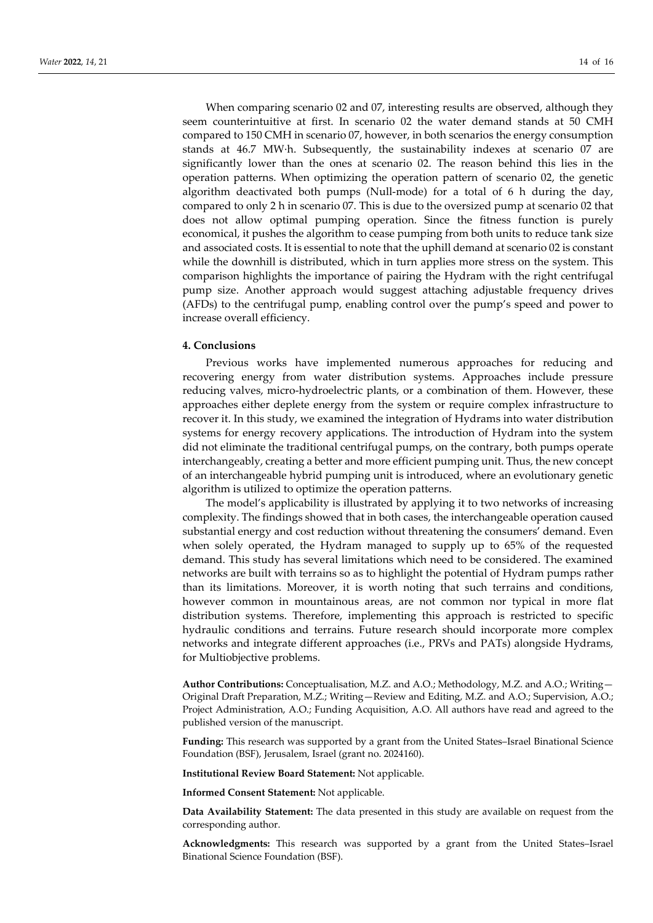When comparing scenario 02 and 07, interesting results are observed, although they seem counterintuitive at first. In scenario 02 the water demand stands at 50 CMH compared to 150 CMH in scenario 07, however, in both scenarios the energy consumption stands at 46.7 MW·h. Subsequently, the sustainability indexes at scenario 07 are significantly lower than the ones at scenario 02. The reason behind this lies in the operation patterns. When optimizing the operation pattern of scenario 02, the genetic algorithm deactivated both pumps (Null-mode) for a total of 6 h during the day, compared to only 2 h in scenario 07. This is due to the oversized pump at scenario 02 that does not allow optimal pumping operation. Since the fitness function is purely economical, it pushes the algorithm to cease pumping from both units to reduce tank size and associated costs. It is essential to note that the uphill demand at scenario 02 is constant while the downhill is distributed, which in turn applies more stress on the system. This comparison highlights the importance of pairing the Hydram with the right centrifugal pump size. Another approach would suggest attaching adjustable frequency drives (AFDs) to the centrifugal pump, enabling control over the pump's speed and power to increase overall efficiency.

# **4. Conclusions**

Previous works have implemented numerous approaches for reducing and recovering energy from water distribution systems. Approaches include pressure reducing valves, micro-hydroelectric plants, or a combination of them. However, these approaches either deplete energy from the system or require complex infrastructure to recover it. In this study, we examined the integration of Hydrams into water distribution systems for energy recovery applications. The introduction of Hydram into the system did not eliminate the traditional centrifugal pumps, on the contrary, both pumps operate interchangeably, creating a better and more efficient pumping unit. Thus, the new concept of an interchangeable hybrid pumping unit is introduced, where an evolutionary genetic algorithm is utilized to optimize the operation patterns.

The model's applicability is illustrated by applying it to two networks of increasing complexity. The findings showed that in both cases, the interchangeable operation caused substantial energy and cost reduction without threatening the consumers' demand. Even when solely operated, the Hydram managed to supply up to 65% of the requested demand. This study has several limitations which need to be considered. The examined networks are built with terrains so as to highlight the potential of Hydram pumps rather than its limitations. Moreover, it is worth noting that such terrains and conditions, however common in mountainous areas, are not common nor typical in more flat distribution systems. Therefore, implementing this approach is restricted to specific hydraulic conditions and terrains. Future research should incorporate more complex networks and integrate different approaches (i.e., PRVs and PATs) alongside Hydrams, for Multiobjective problems.

**Author Contributions:** Conceptualisation, M.Z. and A.O.; Methodology, M.Z. and A.O.; Writing— Original Draft Preparation, M.Z.; Writing—Review and Editing, M.Z. and A.O.; Supervision, A.O.; Project Administration, A.O.; Funding Acquisition, A.O. All authors have read and agreed to the published version of the manuscript.

**Funding:** This research was supported by a grant from the United States–Israel Binational Science Foundation (BSF), Jerusalem, Israel (grant no. 2024160).

**Institutional Review Board Statement:** Not applicable.

**Informed Consent Statement:** Not applicable.

**Data Availability Statement:** The data presented in this study are available on request from the corresponding author.

**Acknowledgments:** This research was supported by a grant from the United States–Israel Binational Science Foundation (BSF).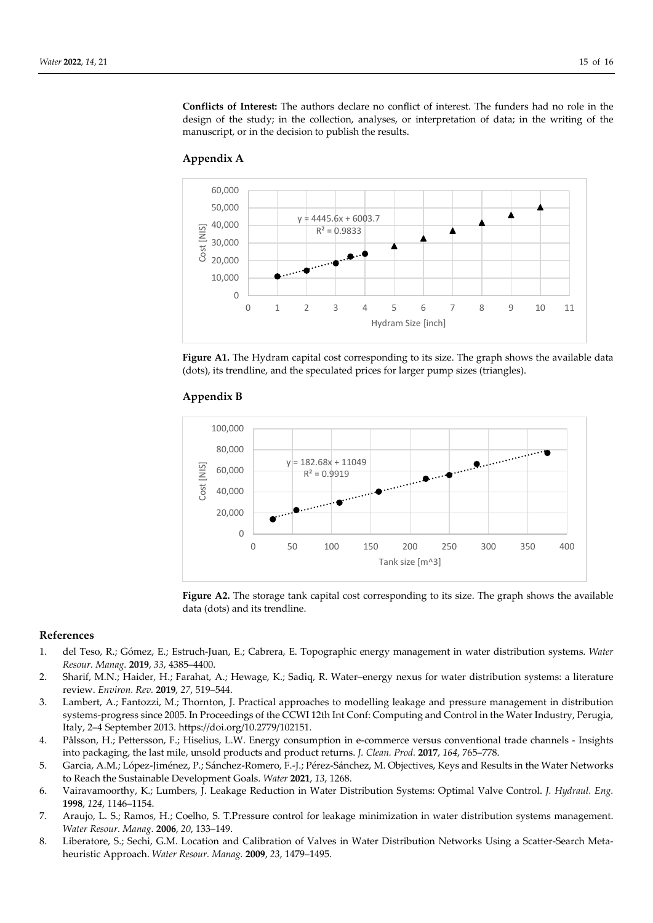**Conflicts of Interest:** The authors declare no conflict of interest. The funders had no role in the design of the study; in the collection, analyses, or interpretation of data; in the writing of the manuscript, or in the decision to publish the results.





Figure A1. The Hydram capital cost corresponding to its size. The graph shows the available data (dots), its trendline, and the speculated prices for larger pump sizes (triangles).



# **Appendix B**

**Figure A2.** The storage tank capital cost corresponding to its size. The graph shows the available data (dots) and its trendline.

### **References**

- 1. del Teso, R.; Gómez, E.; Estruch-Juan, E.; Cabrera, E. Topographic energy management in water distribution systems. *Water Resour. Manag.* **2019**, *33*, 4385–4400.
- 2. Sharif, M.N.; Haider, H.; Farahat, A.; Hewage, K.; Sadiq, R. Water–energy nexus for water distribution systems: a literature review. *Environ. Rev.* **2019**, *27*, 519–544.
- 3. Lambert, A.; Fantozzi, M.; Thornton, J. Practical approaches to modelling leakage and pressure management in distribution systems-progress since 2005. In Proceedings of the CCWI 12th Int Conf: Computing and Control in the Water Industry, Perugia, Italy, 2–4 September 2013. https://doi.org/10.2779/102151.
- 4. Pålsson, H.; Pettersson, F.; Hiselius, L.W. Energy consumption in e-commerce versus conventional trade channels Insights into packaging, the last mile, unsold products and product returns. *J. Clean. Prod.* **2017**, *164*, 765–778.
- 5. Garcia, A.M.; López-Jiménez, P.; Sánchez-Romero, F.-J.; Pérez-Sánchez, M. Objectives, Keys and Results in the Water Networks to Reach the Sustainable Development Goals. *Water* **2021**, *13*, 1268.
- 6. Vairavamoorthy, K.; Lumbers, J. Leakage Reduction in Water Distribution Systems: Optimal Valve Control. *J. Hydraul. Eng.* **1998**, *124*, 1146–1154.
- 7. Araujo, L. S.; Ramos, H.; Coelho, S. T.Pressure control for leakage minimization in water distribution systems management. *Water Resour. Manag.* **2006**, *20*, 133–149.
- 8. Liberatore, S.; Sechi, G.M. Location and Calibration of Valves in Water Distribution Networks Using a Scatter-Search Metaheuristic Approach. *Water Resour. Manag.* **2009**, *23*, 1479–1495.